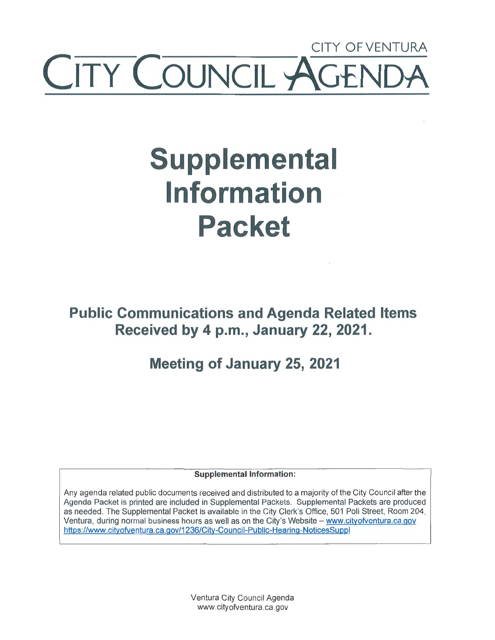## CITY OF VENTURA TY COUNCIL AGEI

# **Supplemental Information Packet**

**Public Communications and Agenda Related Items Received by 4 p.m., January 22, 2021.** 

## **Meeting of January 25, 2021**

**Supplemental Information:** 

Any agenda related public documents received and distributed to a majority of the City Council after the Agenda Packet is printed are included in Supplemental Packets. Supplemental Packets are produce:d as needed. The Supplemental Packet is available in the City Clerk's Office, 501 Poli Street, Room 204, Ventura, during normal business hours as well as on the City's Website - www.cityofventura.ca.gov https://www.cityofventura.ca.gov/1236/City-Council-Public-Hearing-NoticesSuppl

> Ventura City Council Agenda www.cityofventura.ca.gov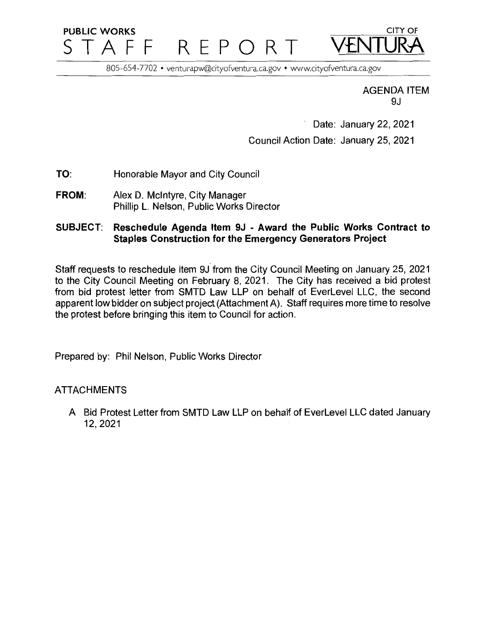## **PUBLIC WORKS** CITY OF STAFF REPORT

805-654-7702 • venturapw@cityofventura.ca.gov • www.cityofventura.ca.gov

AGENDA ITEM 9J

Date: January 22, 2021 Council Action Date: January 25, 2021

- **TO:**  Honorable Mayor and City Council
- **FROM:**  Alex D. McIntyre, City Manager Phillip L. Nelson, Public Works Director

#### **SUBJECT: Reschedule Agenda Item 9J** - **Award the Public Works Contract to Staples Construction for the Emergency Generators Project**

Staff requests to reschedule item 9J from the City Council Meeting on January 25, 2021 to the City Council Meeting on February 8, 2021. The City has received a bid protest from bid protest letter from SMTD Law LLP on behalf of EverLevel LLC, the second apparent low bidder on subject project (Attachment A). Staff requires more time to resolve the protest before bringing this item to Council for action.

Prepared by: Phil Nelson, Public Works Director

#### ATTACHMENTS

A Bid Protest Letter from SMTD Law LLP on behalf of EverLevel LLC dated January 12,2021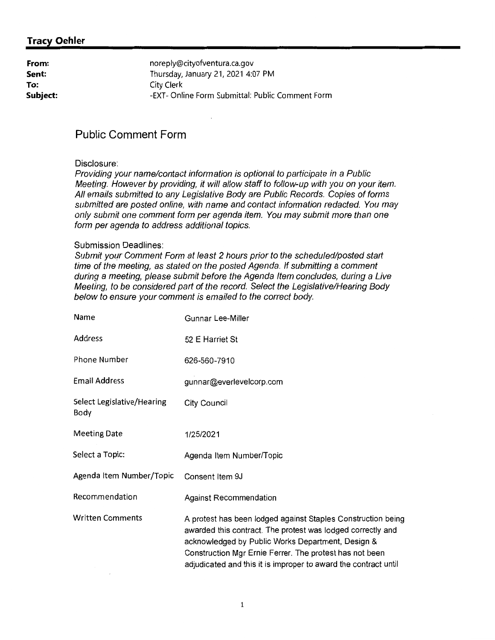#### **Tracy Oehler**

| From:    | noreply@cityofventura.ca.gov                     |
|----------|--------------------------------------------------|
| Sent:    | Thursday, January 21, 2021 4:07 PM               |
| To:      | City Clerk                                       |
| Subject: | -EXT- Online Form Submittal: Public Comment Form |

#### **Public Comment Form**

#### Disclosure:

Providing your name/contact information is optional to participate in a Public Meeting. However by providing, it will allow staff to follow-up with you on your item. All emails submitted to any Legislative Body are Public Records. Copies of forms submitted are posted online, with name and contact information redacted. You may only submit one comment form per agenda item. You may submit more than one form per agenda to address additional topics.

#### Submission Deadlines:

Submit your Comment Form at least 2 hours prior to the scheduled/posted start time of the meeting, as stated on the posted Agenda. If submitting a comment during a meeting, please submit before the Agenda Item concludes, during a Live Meeting, to be considered part of the record. Select the Legislative/Hearing Body below to ensure your comment is emailed to the correct body.

| Name                               | Gunnar Lee-Miller                                                                                                                                                                                                                                                                                              |
|------------------------------------|----------------------------------------------------------------------------------------------------------------------------------------------------------------------------------------------------------------------------------------------------------------------------------------------------------------|
| <b>Address</b>                     | 52 E Harriet St                                                                                                                                                                                                                                                                                                |
| <b>Phone Number</b>                | 626-560-7910                                                                                                                                                                                                                                                                                                   |
| <b>Email Address</b>               | gunnar@everlevelcorp.com                                                                                                                                                                                                                                                                                       |
| Select Legislative/Hearing<br>Body | City Council                                                                                                                                                                                                                                                                                                   |
| <b>Meeting Date</b>                | 1/25/2021                                                                                                                                                                                                                                                                                                      |
| Select a Topic:                    | Agenda Item Number/Topic                                                                                                                                                                                                                                                                                       |
| Agenda Item Number/Topic           | Consent Item 9J                                                                                                                                                                                                                                                                                                |
| Recommendation                     | <b>Against Recommendation</b>                                                                                                                                                                                                                                                                                  |
| <b>Written Comments</b>            | A protest has been lodged against Staples Construction being<br>awarded this contract. The protest was lodged correctly and<br>acknowledged by Public Works Department, Design &<br>Construction Mgr Ernie Ferrer. The protest has not been<br>adjudicated and this it is improper to award the contract until |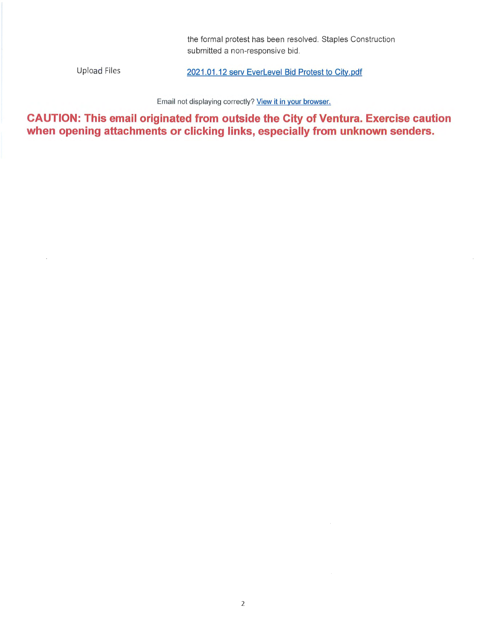the formal protest has been resolved. Staples Construction submitted a non-responsive bid.

Upload Files

2021.01.12 serv Everlevel Bid Protest to City.pdf

Email not displaying correctly? View it in your browser.

**CAUTION: This email originated from outside the City of Ventura. Exercise caution when opening attachments or clicking links, especially from unknown senders.**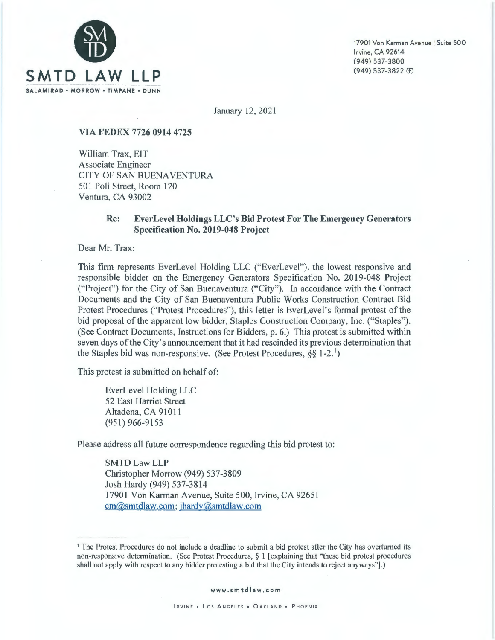

17901 Von Karman Avenue | Suite 500 Irvine, CA 92614 (949) 537-3800 (949) 537-3822 (f)

January 12, 2021

#### **VIA FEDEX 7726 0914 4725**

William Trax, EIT Associate Engineer CITY OF SAN BUENA VENTURA 501 Poli Street, Room 120 Ventura, CA 93002

#### **Re: Ever Level Holdings LLC's Bid Protest For The Emergency Generators Specification No. 2019-048 Project**

Dear Mr. Trax:

This firm represents EverLevel Holding LLC ("EverLevel"), the lowest responsive and responsible bidder on the Emergency Generators Specification No. 2019-048 Project ("Project") for the City of San Buenaventura ("City"). In accordance with the Contract Documents and the City of San Buenaventura Public Works Construction Contract Bid Protest Procedures ("Protest Procedures"), this letter is EverLevel 's formal protest of the bid proposal of the apparent low bidder, Staples Construction Company, Inc. ("Staples"). (See Contract Documents, Instructions for Bidders, p. 6.) This protest is submitted within seven days of the City's announcement that it had rescinded its previous determination that the Staples bid was non-responsive. (See Protest Procedures,  $\S\S 1-2$ .<sup>1</sup>)

This protest is submitted on behalf of:

EverLevel Holding LLC 52 East Harriet Street Altadena, CA 91011 (951) 966-9153

Please address all future correspondence regarding this bid protest to:

SMTDLawLLP Christopher Morrow (949) 537-3809 Josh Hardy (949) 537-3814 17901 Von Karman Avenue, Suite 500, Irvine, CA 92651 cm@smtdlaw.com; jhardy@smtdlaw.com

<sup>1</sup> The Protest Procedures do not include a deadline to submit a bid protest after the City has overturned its non-responsive determination. (See Protest Procedures, § I [ explaining that "these bid protest procedures shall not apply with respect to any bidder protesting a bid that the City intends to reject anyways"].)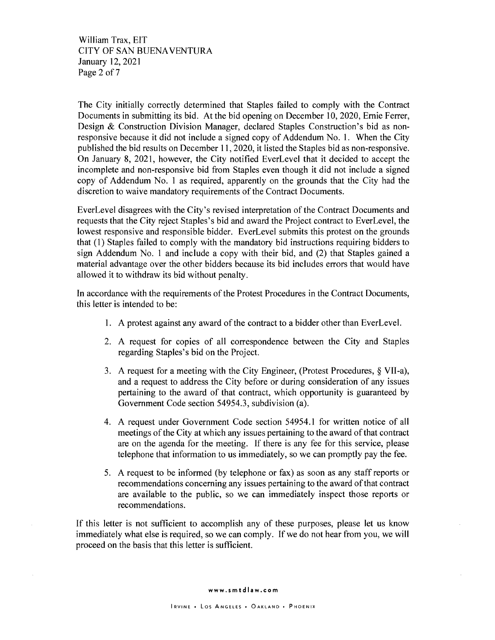William Trax, EIT CITY OF SAN BUENA VENTURA January 12, 2021 Page 2 of 7

The City initially correctly determined that Staples failed to comply with the Contract Documents in submitting its bid. At the bid opening on December 10, 2020, Ernie Ferrer, Design & Construction Division Manager, declared Staples Construction's bid as nonresponsive because it did not include a signed copy of Addendum No. 1. When the City published the bid results on December 11, 2020, it listed the Staples bid as non-responsive. On January 8, 2021, however, the City notified EverLevel that it decided to accept the incomplete and non-responsive bid from Staples even though it did not include a signed copy of Addendum No. 1 as required, apparently on the grounds that the City had the discretion to waive mandatory requirements of the Contract Documents.

EverLevel disagrees with the City's revised interpretation of the Contract Documents and requests that the City reject Staples's bid and award the Project contract to EverLevel, the lowest responsive and responsible bidder. EverLevel submits this protest on the grounds that ( 1) Staples failed to comply with the mandatory bid instructions requiring bidders to sign Addendum No. 1 and include a copy with their bid, and (2) that Staples gained a material advantage over the other bidders because its bid includes errors that would have allowed it to withdraw its bid without penalty.

In accordance with the requirements of the Protest Procedures in the Contract Documents, this letter is intended to be:

- 1. A protest against any award of the contract to a bidder other than EverLevel.
- 2. A request for copies of all correspondence between the City and Staples regarding Staples's bid on the Project.
- 3. A request for a meeting with the City Engineer, (Protest Procedures, § VII-a), and a request to address the City before or during consideration of any issues pertaining to the award of that contract, which opportunity is guaranteed by Government Code section 54954.3, subdivision (a).
- 4. A request under Government Code section 54954.1 for written notice of all meetings of the City at which any issues pertaining to the award of that contract are on the agenda for the meeting. If there is any fee for this service, please telephone that information to us immediately, so we can promptly pay the fee.
- 5. A request to be informed (by telephone or fax) as soon as any staff reports or recommendations concerning any issues pertaining to the award of that contract are available to the public, so we can immediately inspect those reports or recommendations.

If this letter is not sufficient to accomplish any of these purposes, please let us know immediately what else is required, so we can comply. If we do not hear from you, we will proceed on the basis that this letter is sufficient.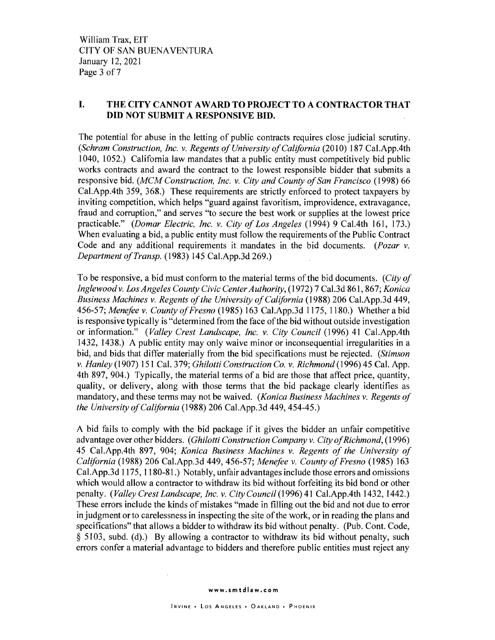#### I. **THE CITY CANNOT A WARD TO PROJECT TO A CONTRACTOR THAT DID NOT SUBMIT A RESPONSIVE BID.**

The potential for abuse in the letting of public contracts requires close judicial scrutiny. *(Schram Construction, Inc. v. Regents of University of California (2010) 187 Cal.App.4th* 1040, 1052.) California law mandates that a public entity must competitively bid public works contracts and award the contract to the lowest responsible bidder that submits a responsive bid. *(MCM Construction, Inc. v. City and County of San Francisco* (1998) 66 Cal.App.4th 359, 368.) These requirements are strictly enforced to protect taxpayers by inviting competition, which helps "guard against favoritism, improvidence, extravagance, fraud and corruption," and serves "to secure the best work or supplies at the lowest price practicable." *(Damar Electric, Inc. v. City of Los Angeles* (1994) 9 Cal.4th 161, 173.) When evaluating a bid, a public entity must follow the requirements of the Public Contract Code and any additional requirements it mandates in the bid documents. *(Pozar v. Department of Transp.* (1983) 145 Cal.App.3d 269.)

To be responsive, a bid must conform to the material terms of the bid documents. *(City of Inglewoodv. Los Angeles County Civic Center Authority,* (1972) 7 Cal.3d 861,867; *Konica Business Machines v. Regents of the University of California* (1988) 206 Cal.App.3d 449, 456-57; *Menefee v. County of Fresno* (1985) 163 Cal.App.3d 1175, 1180.) Whether a bid is responsive typically is "determined from the face of the bid without outside investigation or information." ( *Valley Crest Landscape, Inc. v. City Council* (1996) 41 Cal.App.4th 1432, 1438.) A public entity may only waive minor or inconsequential irregularities in a bid, and bids that differ materially from the bid specifications must be rejected. *(Stimson v. Hanley* (1907) 151 Cal. 379; *Ghilotti Construction Co. v. Richmond* (1996) 45 Cal. App. 4th 897, 904.) Typically, the material terms of a bid are those that affect price, quantity, quality, or delivery, along with those terms that the bid package clearly identifies as mandatory, and these terms may not be waived. *(Konica Business Machines v. Regents of the University of California* (1988) 206 Cal.App.3d 449, 454-45.)

A bid fails to comply with the bid package if it gives the bidder an unfair competitive advantage over other bidders. ( *Ghilotti Construction Company v. City of Richmond,* ( 1996) 45 Cal.App.4th 897, 904; *Konica Business Machines v. Regents of the University of California* (1988) 206 Cal.App.3d 449, 456-57; *Menefee v. County of Fresno* (1985) 163 Cal.App.3d 1175, 1180-81.) Notably, unfair advantages include those errors and omissions which would allow a contractor to withdraw its bid without forfeiting its bid bond or other penalty. *(Valley Crest Landscape, Inc. v. CityCouncil(1996)41* Cal.App.4th 1432, 1442.) These errors include the kinds of mistakes "made in filling out the bid and not due to error in judgment or to carelessness in inspecting the site of the work, or in reading the plans and specifications" that allows a bidder to withdraw its bid without penalty. (Pub. Cont. Code, § 5103, subd. (d).) By allowing a contractor to withdraw its bid without penalty, such errors confer a material advantage to bidders and therefore public entities must reject any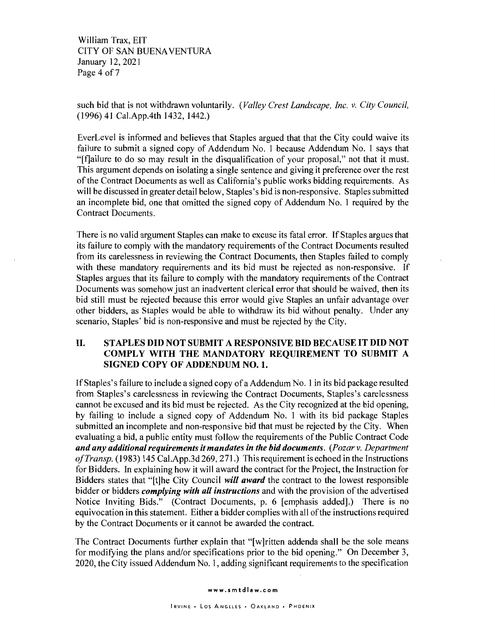William Trax, EIT CITY OF SAN BUENA VENTURA January 12, 2021 Page 4 of 7

such bid that is not withdrawn voluntarily. *(Valley Crest Landscape, Inc. v. City Council,*  (1996) 41 Cal.App.4th 1432, 1442.)

EverLevel is informed and believes that Staples argued that that the City could waive its failure to submit a signed copy of Addendum No. 1 because Addendum No. 1 says that "[fJailure to do so may result in the disqualification of your proposal," not that it must. This argument depends on isolating a single sentence and giving it preference over the rest of the Contract Documents as well as California's public works bidding requirements. As will be discussed in greater detail below, Staples's bid is non-responsive. Staples submitted an incomplete bid, one that omitted the signed copy of Addendum No. 1 required by the Contract Documents.

There is no valid argument Staples can make to excuse its fatal error. If Staples argues that its failure to comply with the mandatory requirements of the Contract Documents resulted from its carelessness in reviewing the Contract Documents, then Staples failed to comply with these mandatory requirements and its bid must be rejected as non-responsive. If Staples argues that its failure to comply with the mandatory requirements of the Contract Documents was somehow just an inadvertent clerical error that should be waived, then its bid still must be rejected because this error would give Staples an unfair advantage over other bidders, as Staples would be able to withdraw its bid without penalty. Under any scenario, Staples' bid is non-responsive and must be rejected by the City.

#### II. **STAPLES DID NOT SUBMIT A RESPONSIVE BID BECAUSE IT DID NOT COMPLY WITH THE MANDATORY REQUIREMENT TO SUBMIT A SIGNED COPY OF ADDENDUM NO. 1.**

If Staples's failure to include a signed copy of a Addendum No. 1 in its bid package resulted from Staples's carelessness in reviewing the Contract Documents, Staples's carelessness cannot be excused and its bid must be rejected. As the City recognized at the bid opening, by failing to include a signed copy of Addendum No. 1 with its bid package Staples submitted an incomplete and non-responsive bid that must be rejected by the City. When evaluating a bid, a public entity must follow the requirements of the Public Contract Code *and any additional requirements it mandates in the bid documents. (Pozar v. Department ofTransp.* (1983) 145 Cal.App.3d 269, 271.) This requirement is echoed in the Instructions for Bidders. In explaining how it will award the contract for the Project, the Instruction for Bidders states that "[t]he City Council *will award* the contract to the lowest responsible bidder or bidders *complying with all instructions* and with the provision of the advertised Notice Inviting Bids." (Contract Documents, p. 6 [emphasis added].) There is no equivocation in this statement. Either a bidder complies with all of the instructions required by the Contract Documents or it cannot be awarded the contract.

The Contract Documents further explain that "[w]ritten addenda shall be the sole means for modifying the plans and/or specifications prior to the bid opening." On December 3, 2020, the City issued Addendum No. I, adding significant requirements to the specification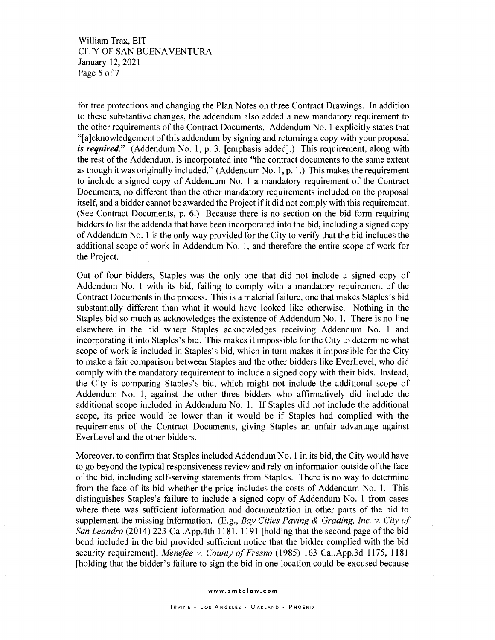William Trax, EIT CITY OF SAN BUENA VENTURA January 12, 2021 Page 5 of 7

for tree protections and changing the Plan Notes on three Contract Drawings. In addition to these substantive changes, the addendum .also added a new mandatory requirement to the other requirements of the Contract Documents. Addendum No. I explicitly states that "[a]cknowledgement of this addendum by signing and returning a copy with your proposal *is required."* (Addendum No. I, p. 3. [emphasis added].) This requirement, along with the rest of the Addendum, is incorporated into "the contract documents to the same extent as though it was originally included." (Addendum No. I, p. I.) This makes the requirement to include a signed copy of Addendum No. I a mandatory requirement of the Contract Documents, no different than the other mandatory requirements included on the proposal itself, and a bidder cannot be awarded the Project if it did not comply with this requirement. (See Contract Documents, p. 6.) Because there is no section on the bid form requiring bidders to list the addenda that have been incorporated into the bid, including a signed copy of Addendum No. I is the only way provided for the City to verify that the bid includes the additional scope of work in Addendum No. I, and therefore the entire scope of work for the Project.

Out of four bidders, Staples was the only one that did not include a signed copy of Addendum No. I with its bid, failing to comply with a mandatory requirement of the Contract Documents in the process. This is a material failure, one that makes Staples's bid substantially different than what it would have looked like otherwise. Nothing in the Staples bid so much as acknowledges the existence of Addendum No. I. There is no line elsewhere in the bid where Staples acknowledges receiving Addendum No. I and incorporating it into Staples's bid. This makes it impossible for the City to determine what scope of work is included in Staples's bid, which in tum makes it impossible for the City to make a fair comparison between Staples and the other bidders like EverLevel, who did comply with the mandatory requirement to include a signed copy with their bids. Instead, the City is comparing Staples's bid, which might not include the additional scope of Addendum No. I, against the other three bidders who affirmatively did include the additional scope included in Addendum No. I. If Staples did not include the additional scope, its price would be lower than it would be if Staples had complied with the requirements of the Contract Documents, giving Staples an unfair advantage against EverLevel and the other bidders.

Moreover, to confirm that Staples included Addendum No. I in its bid, the City would have to go beyond the typical responsiveness review and rely on information outside of the face of the bid, including self-serving statements from Staples. There is no way to determine from the face of its bid whether the price includes the costs of Addendum No. I. This distinguishes Staples's failure to include a signed copy of Addendum No. I from cases where there was sufficient information and documentation in other parts of the bid to supplement the missing information. (E.g., *Bay Cities Paving & Grading, Inc. v. City of San Leandro* (2014) 223 Cal.App.4th 1181, 1191 [holding that the second page of the bid bond included in the bid provided sufficient notice that the bidder complied with the bid security requirement]; *Menefee v. County of Fresno* (1985) 163 Cal.App.3d 1175, 1181 [holding that the bidder's failure to sign the bid in one location could be excused because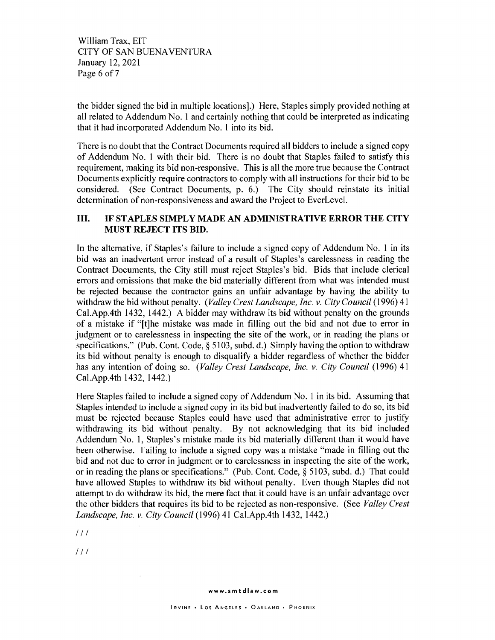William Trax, EIT CITY OF SAN BUENA VENTURA January 12, 2021 Page 6 of 7

the bidder signed the bid in multiple locations].) Here, Staples simply provided nothing at all related to Addendum No. **1** and certainly nothing that could be interpreted as indicating that it had incorporated Addendum No. **1** into its bid.

There is no doubt that the Contract Documents required all bidders to include a signed copy of Addendum No. 1 with their bid. There is no doubt that Staples failed to satisfy this requirement, making its bid non-responsive. This is all the more true because the Contract Documents explicitly require contractors to comply with all instructions for their bid to be considered. (See Contract Documents, p. 6.) The City should reinstate its initial determination of non-responsiveness and award the Project to EverLevel.

#### III. **IF STAPLES SIMPLY MADE AN ADMINISTRATIVE ERROR THE CITY MUST REJECT ITS BID.**

In the alternative, if Staples's failure to include a signed copy of Addendum No. 1 in its bid was an inadvertent error instead of a result of Staples's carelessness in reading the Contract Documents, the City still must reject Staples's bid. Bids that include clerical errors and omissions that make the bid materially different from what was intended must be rejected because the contractor gains an unfair advantage by having the ability to withdraw the bid without penalty. *(Valley Crest Landscape, Inc. v. City Council* (1996) 41 Cal.App.4th 1432, 1442.) A bidder may withdraw its bid without penalty on the grounds of a mistake if "[t]he mistake was made in filling out the bid and not due to error in judgment or to carelessness in inspecting the site of the work, or in reading the plans or specifications." (Pub. Cont. Code, § 5103, subd. d.) Simply having the option to withdraw its bid without penalty is enough to disqualify a bidder regardless of whether the bidder has any intention of doing so. *(Valley Crest Landscape, Inc. v. City Council* (1996) 41 Cal.App.4th 1432, 1442.)

Here Staples failed to include a signed copy of Addendum No. 1 in its bid. Assuming that Staples intended to include a signed copy in its bid but inadvertently failed to do so, its bid must be rejected because Staples could have used that administrative error to justify withdrawing its bid without penalty. By not acknowledging that its bid included Addendum No. 1, Staples's mistake made its bid materially different than it would have been otherwise. Failing to include a signed copy was a mistake "made in filling out the bid and not due to error in judgment or to carelessness in inspecting the site of the work, or in reading the plans or specifications." (Pub. Cont. Code, § 5103, subd. d.) That could have allowed Staples to withdraw its bid without penalty. Even though Staples did not attempt to do withdraw its bid, the mere fact that it could have is an unfair advantage over the other bidders that requires its bid to be rejected as non-responsive. (See *Valley Crest Landscape, Inc. v. City Council* (1996) 41 Cal.App.4th 1432, 1442.)

 $111$ 

 $111$